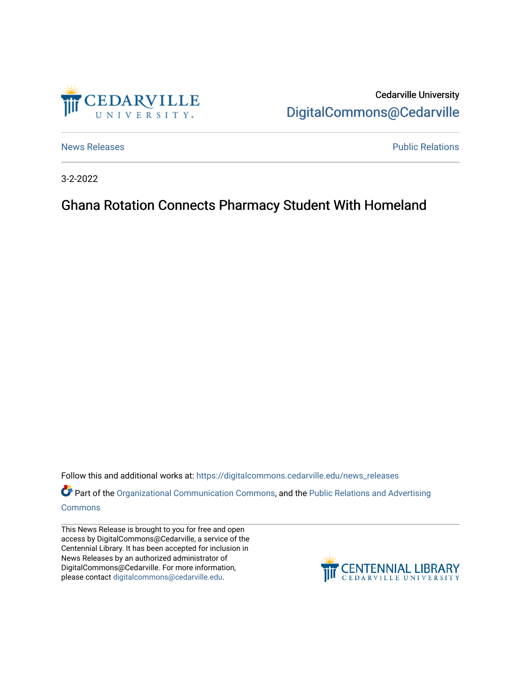

Cedarville University [DigitalCommons@Cedarville](https://digitalcommons.cedarville.edu/) 

[News Releases](https://digitalcommons.cedarville.edu/news_releases) **Public Relations Public Relations** 

3-2-2022

## Ghana Rotation Connects Pharmacy Student With Homeland

Follow this and additional works at: [https://digitalcommons.cedarville.edu/news\\_releases](https://digitalcommons.cedarville.edu/news_releases?utm_source=digitalcommons.cedarville.edu%2Fnews_releases%2F1509&utm_medium=PDF&utm_campaign=PDFCoverPages) 

Part of the [Organizational Communication Commons](http://network.bepress.com/hgg/discipline/335?utm_source=digitalcommons.cedarville.edu%2Fnews_releases%2F1509&utm_medium=PDF&utm_campaign=PDFCoverPages), and the Public Relations and Advertising [Commons](http://network.bepress.com/hgg/discipline/336?utm_source=digitalcommons.cedarville.edu%2Fnews_releases%2F1509&utm_medium=PDF&utm_campaign=PDFCoverPages)

This News Release is brought to you for free and open access by DigitalCommons@Cedarville, a service of the Centennial Library. It has been accepted for inclusion in News Releases by an authorized administrator of DigitalCommons@Cedarville. For more information, please contact [digitalcommons@cedarville.edu](mailto:digitalcommons@cedarville.edu).

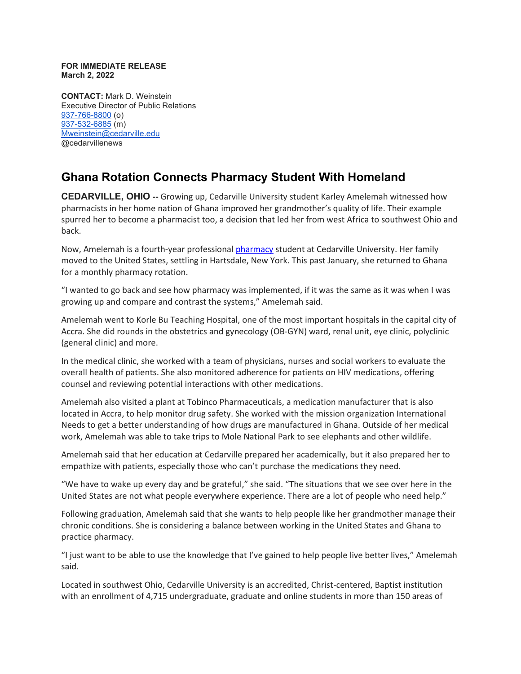## **FOR IMMEDIATE RELEASE March 2, 2022**

**CONTACT:** Mark D. Weinstein Executive Director of Public Relations [937-766-8800](tel:937-766-8800) (o) [937-532-6885](tel:937-532-6885) (m) [Mweinstein@cedarville.edu](mailto:Mweinstein@cedarville.edu) @cedarvillenews

## **Ghana Rotation Connects Pharmacy Student With Homeland**

**CEDARVILLE, OHIO --** Growing up, Cedarville University student Karley Amelemah witnessed how pharmacists in her home nation of Ghana improved her grandmother's quality of life. Their example spurred her to become a pharmacist too, a decision that led her from west Africa to southwest Ohio and back.

Now, Amelemah is a fourth-year professional [pharmacy](https://www.cedarville.edu/academic-programs/doctor-of-pharmacy) student at Cedarville University. Her family moved to the United States, settling in Hartsdale, New York. This past January, she returned to Ghana for a monthly pharmacy rotation.

"I wanted to go back and see how pharmacy was implemented, if it was the same as it was when I was growing up and compare and contrast the systems," Amelemah said.

Amelemah went to Korle Bu Teaching Hospital, one of the most important hospitals in the capital city of Accra. She did rounds in the obstetrics and gynecology (OB-GYN) ward, renal unit, eye clinic, polyclinic (general clinic) and more.

In the medical clinic, she worked with a team of physicians, nurses and social workers to evaluate the overall health of patients. She also monitored adherence for patients on HIV medications, offering counsel and reviewing potential interactions with other medications.

Amelemah also visited a plant at Tobinco Pharmaceuticals, a medication manufacturer that is also located in Accra, to help monitor drug safety. She worked with the mission organization International Needs to get a better understanding of how drugs are manufactured in Ghana. Outside of her medical work, Amelemah was able to take trips to Mole National Park to see elephants and other wildlife.

Amelemah said that her education at Cedarville prepared her academically, but it also prepared her to empathize with patients, especially those who can't purchase the medications they need.

"We have to wake up every day and be grateful," she said. "The situations that we see over here in the United States are not what people everywhere experience. There are a lot of people who need help."

Following graduation, Amelemah said that she wants to help people like her grandmother manage their chronic conditions. She is considering a balance between working in the United States and Ghana to practice pharmacy.

"I just want to be able to use the knowledge that I've gained to help people live better lives," Amelemah said.

Located in southwest Ohio, Cedarville University is an accredited, Christ-centered, Baptist institution with an enrollment of 4,715 undergraduate, graduate and online students in more than 150 areas of